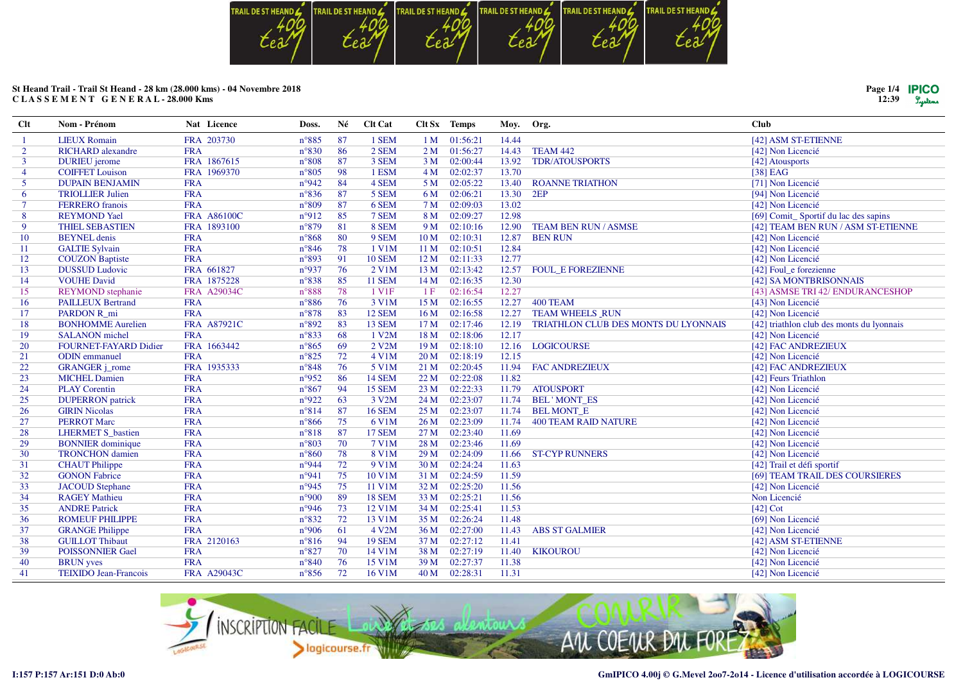

| Page $1/4$ <b>PICO</b><br>12:39 | Tystems |
|---------------------------------|---------|
|                                 |         |

| $Cl$ t         | Nom - Prénom                 | Nat Licence        | Doss.          | Né  | Clt Cat            |                 | Clt Sx Temps | Moy. Org. |                                      | <b>Club</b>                               |
|----------------|------------------------------|--------------------|----------------|-----|--------------------|-----------------|--------------|-----------|--------------------------------------|-------------------------------------------|
|                | <b>LIEUX Romain</b>          | FRA 203730         | $n^{\circ}885$ | 87  | 1 SEM              |                 | 1 M 01:56:21 | 14.44     |                                      | [42] ASM ST-ETIENNE                       |
| $\overline{2}$ | <b>RICHARD</b> alexandre     | <b>FRA</b>         | $n^{\circ}830$ | 86  | 2 SEM              | 2 <sub>M</sub>  | 01:56:27     | 14.43     | TEAM 442                             | [42] Non Licencié                         |
| $\mathbf{3}$   | <b>DURIEU</b> jerome         | FRA 1867615        | $n^{\circ}808$ | 87  | 3 SEM              | 3 <sub>M</sub>  | 02:00:44     | 13.92     | <b>TDR/ATOUSPORTS</b>                | [42] Atousports                           |
| 4              | <b>COIFFET Louison</b>       | FRA 1969370        | $n^{\circ}805$ | 98  | 1 ESM              | 4M              | 02:02:37     | 13.70     |                                      | [38] EAG                                  |
| 5              | <b>DUPAIN BENJAMIN</b>       | <b>FRA</b>         | n°942          | 84  | 4 SEM              | 5 M             | 02:05:22     | 13.40     | <b>ROANNE TRIATHON</b>               | [71] Non Licencié                         |
| 6              | <b>TRIOLLIER Julien</b>      | <b>FRA</b>         | $n^{\circ}836$ | 87  | 5 SEM              | 6 M             | 02:06:21     | 13.30     | 2EP                                  | [94] Non Licencié                         |
| $\tau$         | <b>FERRERO</b> franois       | <b>FRA</b>         | $n^{\circ}809$ | 87  | 6 SEM              | 7 M             | 02:09:03     | 13.02     |                                      | [42] Non Licencié                         |
| 8              | <b>REYMOND Yael</b>          | <b>FRA A86100C</b> | n°912          | 85  | 7 SEM              | 8 M             | 02:09:27     | 12.98     |                                      | [69] Comit_Sportif du lac des sapins      |
| 9              | <b>THIEL SEBASTIEN</b>       | FRA 1893100        | $n^{\circ}879$ | 81  | 8 SEM              | 9 M             | 02:10:16     | 12.90     | <b>TEAM BEN RUN / ASMSE</b>          | [42] TEAM BEN RUN / ASM ST-ETIENNE        |
| 10             | <b>BEYNEL</b> denis          | <b>FRA</b>         | $n^{\circ}868$ | 80  | 9 SEM              | 10 <sub>M</sub> | 02:10:31     | 12.87     | <b>BEN RUN</b>                       | [42] Non Licencié                         |
| 11             | <b>GALTIE Sylvain</b>        | <b>FRA</b>         | $n^{\circ}846$ | 78  | 1 V1M              | 11 <sub>M</sub> | 02:10:51     | 12.84     |                                      | [42] Non Licencié                         |
| 12             | <b>COUZON</b> Baptiste       | <b>FRA</b>         | $n^{\circ}893$ | 91  | <b>10 SEM</b>      | 12 <sub>M</sub> | 02:11:33     | 12.77     |                                      | [42] Non Licencié                         |
| 13             | <b>DUSSUD Ludovic</b>        | FRA 661827         | n°937          | 76  | 2 V1M              | 13 M            | 02:13:42     | 12.57     | <b>FOUL E FOREZIENNE</b>             | [42] Foul_e forezienne                    |
| 14             | <b>VOUHE David</b>           | FRA 1875228        | $n^{\circ}838$ | 85  | <b>11 SEM</b>      | 14M             | 02:16:35     | 12.30     |                                      | [42] SA MONTBRISONNAIS                    |
| 15             | <b>REYMOND</b> stephanie     | <b>FRA A29034C</b> | $n^{\circ}888$ | 78  | 1 V1F              | 1F              | 02:16:54     | 12.27     |                                      | [43] ASMSE TRI 42/ ENDURANCESHOP          |
| 16             | <b>PAILLEUX Bertrand</b>     | <b>FRA</b>         | $n^{\circ}886$ | 76  | 3 V1M              | 15 M            | 02:16:55     | 12.27     | 400 TEAM                             | [43] Non Licencié                         |
| 17             | PARDON R mi                  | <b>FRA</b>         | $n^{\circ}878$ | 83  | <b>12 SEM</b>      | 16 <sub>M</sub> | 02:16:58     | 12.27     | <b>TEAM WHEELS RUN</b>               | [42] Non Licencié                         |
| 18             | <b>BONHOMME Aurelien</b>     | <b>FRA A87921C</b> | n°892          | 83  | <b>13 SEM</b>      | 17 <sub>M</sub> | 02:17:46     | 12.19     | TRIATHLON CLUB DES MONTS DU LYONNAIS | [42] triathlon club des monts du lyonnais |
| 19             | <b>SALANON</b> michel        | <b>FRA</b>         | $n^{\circ}833$ | 68  | 1 V2M              | 18 M            | 02:18:06     | 12.17     |                                      | [42] Non Licencié                         |
| 20             | FOURNET-FAYARD Didier        | FRA 1663442        | $n^{\circ}865$ | 69  | 2 V <sub>2</sub> M | 19 <sub>M</sub> | 02:18:10     | 12.16     | <b>LOGICOURSE</b>                    | [42] FAC ANDREZIEUX                       |
| 21             | <b>ODIN</b> emmanuel         | <b>FRA</b>         | $n^{\circ}825$ | 72  | 4 V1M              | 20 <sub>M</sub> | 02:18:19     | 12.15     |                                      | [42] Non Licencié                         |
| 22             | <b>GRANGER</b> <i>j_rome</i> | FRA 1935333        | $n^{\circ}848$ | 76  | 5 V1M              | 21 M            | 02:20:45     | 11.94     | <b>FAC ANDREZIEUX</b>                | [42] FAC ANDREZIEUX                       |
| 23             | <b>MICHEL Damien</b>         | <b>FRA</b>         | $n^{\circ}952$ | 86  | <b>14 SEM</b>      | 22 M            | 02:22:08     | 11.82     |                                      | [42] Feurs Triathlon                      |
| 24             | <b>PLAY Corentin</b>         | <b>FRA</b>         | $n^{\circ}867$ | 94  | <b>15 SEM</b>      | 23M             | 02:22:33     | 11.79     | <b>ATOUSPORT</b>                     | [42] Non Licencié                         |
| 25             | <b>DUPERRON</b> patrick      | <b>FRA</b>         | n°922          | 63  | 3 V2M              | 24 M            | 02:23:07     | 11.74     | <b>BEL'MONT ES</b>                   | [42] Non Licencié                         |
| 26             | <b>GIRIN Nicolas</b>         | <b>FRA</b>         | $n^{\circ}814$ | 87  | <b>16 SEM</b>      | 25 M            | 02:23:07     | 11.74     | <b>BELMONT E</b>                     | [42] Non Licencié                         |
| 27             | <b>PERROT Marc</b>           | <b>FRA</b>         | $n^{\circ}866$ | 75  | 6 V1M              | 26 <sub>M</sub> | 02:23:09     | 11.74     | <b>400 TEAM RAID NATURE</b>          | [42] Non Licencié                         |
| 28             | <b>LHERMET S_bastien</b>     | <b>FRA</b>         | $n^{\circ}818$ | 87  | <b>17 SEM</b>      | 27 M            | 02:23:40     | 11.69     |                                      | [42] Non Licencié                         |
| 29             | <b>BONNIER</b> dominique     | <b>FRA</b>         | $n^{\circ}803$ | 70  | 7 V1M              | 28 M            | 02:23:46     | 11.69     |                                      | [42] Non Licencié                         |
| 30             | <b>TRONCHON</b> damien       | <b>FRA</b>         | $n^{\circ}860$ | 78  | 8 V1M              | 29 M            | 02:24:09     | 11.66     | <b>ST-CYP RUNNERS</b>                | [42] Non Licencié                         |
| 31             | <b>CHAUT</b> Philippe        | <b>FRA</b>         | n°944          | 72  | 9 V1M              | 30 <sub>M</sub> | 02:24:24     | 11.63     |                                      | [42] Trail et défi sportif                |
| 32             | <b>GONON Fabrice</b>         | <b>FRA</b>         | n°941          | 75  | 10 V1M             | 31 M            | 02:24:59     | 11.59     |                                      | [69] TEAM TRAIL DES COURSIERES            |
| 33             | <b>JACOUD</b> Stephane       | <b>FRA</b>         | n°945          | 75  | 11 V1M             | 32 M            | 02:25:20     | 11.56     |                                      | [42] Non Licencié                         |
| 34             | <b>RAGEY Mathieu</b>         | <b>FRA</b>         | n°900          | 89  | <b>18 SEM</b>      | 33 M            | 02:25:21     | 11.56     |                                      | Non Licencié                              |
| 35             | <b>ANDRE Patrick</b>         | <b>FRA</b>         | n°946          | 73  | 12 V1M             | 34 M            | 02:25:41     | 11.53     |                                      | $[42]$ Cot                                |
| 36             | <b>ROMEUF PHILIPPE</b>       | <b>FRA</b>         | $n^{\circ}832$ | 72  | 13 V1M             | 35 M            | 02:26:24     | 11.48     |                                      | [69] Non Licencié                         |
| 37             | <b>GRANGE Philippe</b>       | <b>FRA</b>         | n°906          | -61 | 4 V2M              | 36 M            | 02:27:00     | 11.43     | <b>ABS ST GALMIER</b>                | [42] Non Licencié                         |
| 38             | <b>GUILLOT Thibaut</b>       | FRA 2120163        | $n^{\circ}816$ | 94  | <b>19 SEM</b>      | 37 M            | 02:27:12     | 11.41     |                                      | [42] ASM ST-ETIENNE                       |
| 39             | <b>POISSONNIER Gael</b>      | <b>FRA</b>         | $n^{\circ}827$ | 70  | 14 V1M             | 38 M            | 02:27:19     | 11.40     | <b>KIKOUROU</b>                      | [42] Non Licencié                         |
| 40             | <b>BRUN</b> yves             | <b>FRA</b>         | $n^{\circ}840$ | 76  | 15 V1M             | 39 M            | 02:27:37     | 11.38     |                                      | [42] Non Licencié                         |
| 41             | <b>TEIXIDO Jean-Francois</b> | FRA A29043C        | $n^{\circ}856$ | 72  | 16 V1M             | 40 M            | 02:28:31     | 11.31     |                                      | [42] Non Licencié                         |

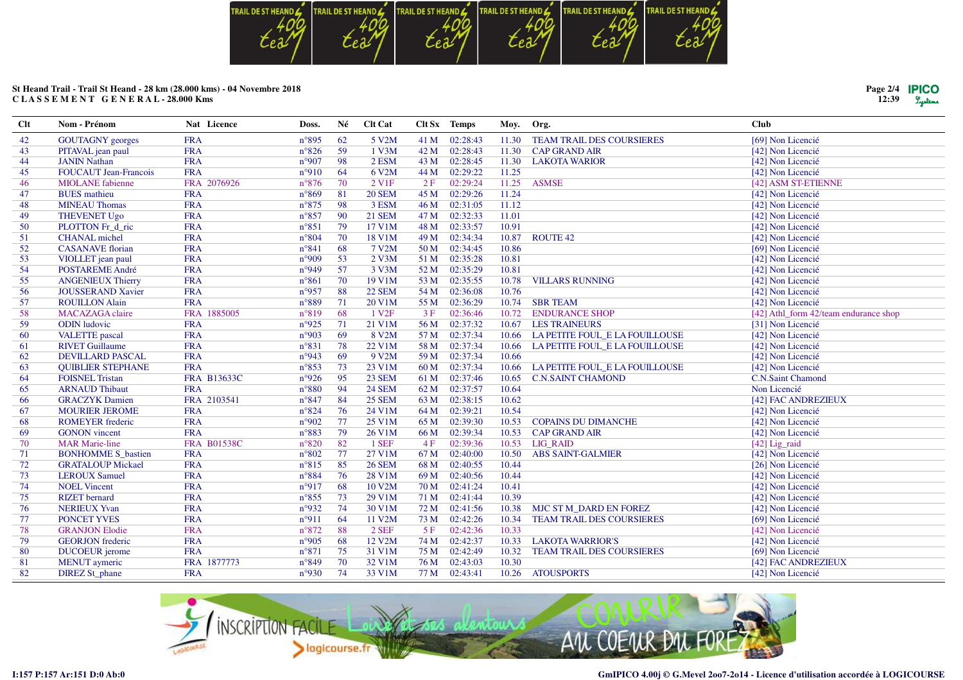

| Page 2/4 <b>IPICO</b> |         |
|-----------------------|---------|
| 12:39                 | Lystems |

| $Cl$ | Nom - Prénom                 | Nat Licence        | Doss.          | Né | Clt Cat            |      | Clt Sx Temps | Moy.  | Org.                             | <b>Club</b>                           |
|------|------------------------------|--------------------|----------------|----|--------------------|------|--------------|-------|----------------------------------|---------------------------------------|
| 42   | <b>GOUTAGNY</b> georges      | <b>FRA</b>         | $n^{\circ}895$ | 62 | 5 V <sub>2</sub> M | 41 M | 02:28:43     | 11.30 | <b>TEAM TRAIL DES COURSIERES</b> | [69] Non Licencié                     |
| 43   | PITAVAL jean paul            | <b>FRA</b>         | $n^{\circ}826$ | 59 | 1 V3M              | 42 M | 02:28:43     | 11.30 | <b>CAP GRAND AIR</b>             | [42] Non Licencié                     |
| 44   | <b>JANIN Nathan</b>          | <b>FRA</b>         | n°907          | 98 | $2$ ESM            | 43 M | 02:28:45     | 11.30 | <b>LAKOTA WARIOR</b>             | [42] Non Licencié                     |
| 45   | <b>FOUCAUT Jean-Francois</b> | <b>FRA</b>         | n°910          | 64 | 6 V2M              | 44 M | 02:29:22     | 11.25 |                                  | [42] Non Licencié                     |
| 46   | <b>MIOLANE</b> fabienne      | FRA 2076926        | $n^{\circ}876$ | 70 | 2 V <sub>1F</sub>  | 2F   | 02:29:24     | 11.25 | <b>ASMSE</b>                     | [42] ASM ST-ETIENNE                   |
| 47   | <b>BUES</b> mathieu          | <b>FRA</b>         | $n^{\circ}869$ | 81 | <b>20 SEM</b>      | 45 M | 02:29:26     | 11.24 |                                  | [42] Non Licencié                     |
| 48   | <b>MINEAU Thomas</b>         | <b>FRA</b>         | $n^{\circ}875$ | 98 | 3 ESM              | 46 M | 02:31:05     | 11.12 |                                  | [42] Non Licencié                     |
| 49   | <b>THEVENET Ugo</b>          | <b>FRA</b>         | $n^{\circ}857$ | 90 | <b>21 SEM</b>      | 47 M | 02:32:33     | 11.01 |                                  | [42] Non Licencié                     |
| 50   | PLOTTON Fr_d_ric             | <b>FRA</b>         | $n^{\circ}851$ | 79 | 17 V1M             | 48 M | 02:33:57     | 10.91 |                                  | [42] Non Licencié                     |
| 51   | <b>CHANAL</b> michel         | <b>FRA</b>         | $n^{\circ}804$ | 70 | 18 V1M             | 49 M | 02:34:34     | 10.87 | <b>ROUTE 42</b>                  | [42] Non Licencié                     |
| 52   | <b>CASANAVE</b> florian      | <b>FRA</b>         | $n^{\circ}841$ | 68 | 7 V2M              | 50 M | 02:34:45     | 10.86 |                                  | [69] Non Licencié                     |
| 53   | VIOLLET jean paul            | <b>FRA</b>         | n°909          | 53 | $2$ V3M            | 51 M | 02:35:28     | 10.81 |                                  | [42] Non Licencié                     |
| 54   | <b>POSTAREME André</b>       | <b>FRA</b>         | n°949          | 57 | 3 V3M              | 52 M | 02:35:29     | 10.81 |                                  | [42] Non Licencié                     |
| 55   | <b>ANGENIEUX Thierry</b>     | <b>FRA</b>         | $n^{\circ}861$ | 70 | 19 V1M             | 53 M | 02:35:55     | 10.78 | <b>VILLARS RUNNING</b>           | [42] Non Licencié                     |
| 56   | <b>JOUSSERAND Xavier</b>     | <b>FRA</b>         | n°957          | 88 | <b>22 SEM</b>      | 54 M | 02:36:08     | 10.76 |                                  | [42] Non Licencié                     |
| 57   | <b>ROUILLON Alain</b>        | <b>FRA</b>         | n°889          | 71 | 20 V1M             | 55 M | 02:36:29     | 10.74 | <b>SBR TEAM</b>                  | [42] Non Licencié                     |
| 58   | <b>MACAZAGA</b> claire       | FRA 1885005        | n°819          | 68 | 1 V <sub>2F</sub>  | 3F   | 02:36:46     | 10.72 | <b>ENDURANCE SHOP</b>            | [42] Athl_form 42/team endurance shop |
| 59   | <b>ODIN</b> ludovic          | <b>FRA</b>         | n°925          | 71 | 21 V1M             | 56 M | 02:37:32     | 10.67 | <b>LES TRAINEURS</b>             | [31] Non Licencié                     |
| 60   | <b>VALETTE</b> pascal        | <b>FRA</b>         | n°903          | 69 | 8 V2M              | 57 M | 02:37:34     | 10.66 | LA PETITE FOUL_E LA FOUILLOUSE   | [42] Non Licencié                     |
| 61   | <b>RIVET Guillaume</b>       | <b>FRA</b>         | $n^{\circ}831$ | 78 | 22 V1M             | 58 M | 02:37:34     | 10.66 | LA PETITE FOUL_E LA FOUILLOUSE   | [42] Non Licencié                     |
| 62   | <b>DEVILLARD PASCAL</b>      | <b>FRA</b>         | n°943          | 69 | 9 V2M              | 59 M | 02:37:34     | 10.66 |                                  | [42] Non Licencié                     |
| 63   | <b>OUIBLIER STEPHANE</b>     | <b>FRA</b>         | $n^{\circ}853$ | 73 | 23 V1M             | 60 M | 02:37:34     | 10.66 | LA PETITE FOUL E LA FOUILLOUSE   | [42] Non Licencié                     |
| 64   | <b>FOISNEL Tristan</b>       | FRA B13633C        | n°926          | 95 | <b>23 SEM</b>      | 61 M | 02:37:46     | 10.65 | <b>C.N.SAINT CHAMOND</b>         | <b>C.N.Saint Chamond</b>              |
| 65   | <b>ARNAUD Thibaut</b>        | <b>FRA</b>         | $n^{\circ}880$ | 94 | <b>24 SEM</b>      | 62 M | 02:37:57     | 10.64 |                                  | Non Licencié                          |
| 66   | <b>GRACZYK</b> Damien        | FRA 2103541        | $n^{\circ}847$ | 84 | <b>25 SEM</b>      | 63 M | 02:38:15     | 10.62 |                                  | [42] FAC ANDREZIEUX                   |
| 67   | <b>MOURIER JEROME</b>        | <b>FRA</b>         | $n^{\circ}824$ | 76 | 24 V1M             | 64 M | 02:39:21     | 10.54 |                                  | [42] Non Licencié                     |
| 68   | <b>ROMEYER</b> frederic      | <b>FRA</b>         | n°902          | 77 | 25 V1M             | 65 M | 02:39:30     | 10.53 | <b>COPAINS DU DIMANCHE</b>       | [42] Non Licencié                     |
| 69   | <b>GONON</b> vincent         | <b>FRA</b>         | n°883          | 79 | 26 V1M             | 66 M | 02:39:34     | 10.53 | <b>CAP GRAND AIR</b>             | [42] Non Licencié                     |
| 70   | <b>MAR Marie-line</b>        | <b>FRA B01538C</b> | $n^{\circ}820$ | 82 | 1 SEF              | 4F   | 02:39:36     | 10.53 | LIG_RAID                         | [42] Lig_raid                         |
| 71   | <b>BONHOMME S_bastien</b>    | <b>FRA</b>         | $n^{\circ}802$ | 77 | 27 V1M             | 67 M | 02:40:00     | 10.50 | <b>ABS SAINT-GALMIER</b>         | [42] Non Licencié                     |
| 72   | <b>GRATALOUP Mickael</b>     | <b>FRA</b>         | $n^{\circ}815$ | 85 | <b>26 SEM</b>      | 68 M | 02:40:55     | 10.44 |                                  | [26] Non Licencié                     |
| 73   | <b>LEROUX Samuel</b>         | <b>FRA</b>         | $n^{\circ}884$ | 76 | 28 V1M             | 69 M | 02:40:56     | 10.44 |                                  | [42] Non Licencié                     |
| 74   | <b>NOEL Vincent</b>          | <b>FRA</b>         | n°917          | 68 | 10 V2M             | 70 M | 02:41:24     | 10.41 |                                  | [42] Non Licencié                     |
| 75   | <b>RIZET</b> bernard         | <b>FRA</b>         | $n^{\circ}855$ | 73 | 29 V1M             | 71 M | 02:41:44     | 10.39 |                                  | [42] Non Licencié                     |
| 76   | <b>NERIEUX Yvan</b>          | <b>FRA</b>         | n°932          | 74 | 30 V1M             | 72 M | 02:41:56     | 10.38 | MJC ST M DARD EN FOREZ           | [42] Non Licencié                     |
| 77   | <b>PONCET YVES</b>           | <b>FRA</b>         | n°911          | 64 | 11 V2M             | 73 M | 02:42:26     | 10.34 | <b>TEAM TRAIL DES COURSIERES</b> | [69] Non Licencié                     |
| 78   | <b>GRANJON Elodie</b>        | <b>FRA</b>         | $n^{\circ}872$ | 88 | 2 SEF              | 5F   | 02:42:36     | 10.33 |                                  | [42] Non Licencié                     |
| 79   | <b>GEORJON</b> frederic      | <b>FRA</b>         | n°905          | 68 | 12 V2M             | 74 M | 02:42:37     | 10.33 | <b>LAKOTA WARRIOR'S</b>          | [42] Non Licencié                     |
| 80   | <b>DUCOEUR</b> jerome        | <b>FRA</b>         | $n^{\circ}871$ | 75 | 31 V1M             | 75 M | 02:42:49     | 10.32 | <b>TEAM TRAIL DES COURSIERES</b> | [69] Non Licencié                     |
| 81   | <b>MENUT</b> aymeric         | FRA 1877773        | n°849          | 70 | 32 V1M             | 76 M | 02:43:03     | 10.30 |                                  | [42] FAC ANDREZIEUX                   |
| 82   | <b>DIREZ St_phane</b>        | <b>FRA</b>         | n°930          | 74 | 33 V1M             | 77 M | 02:43:41     | 10.26 | <b>ATOUSPORTS</b>                | [42] Non Licencié                     |

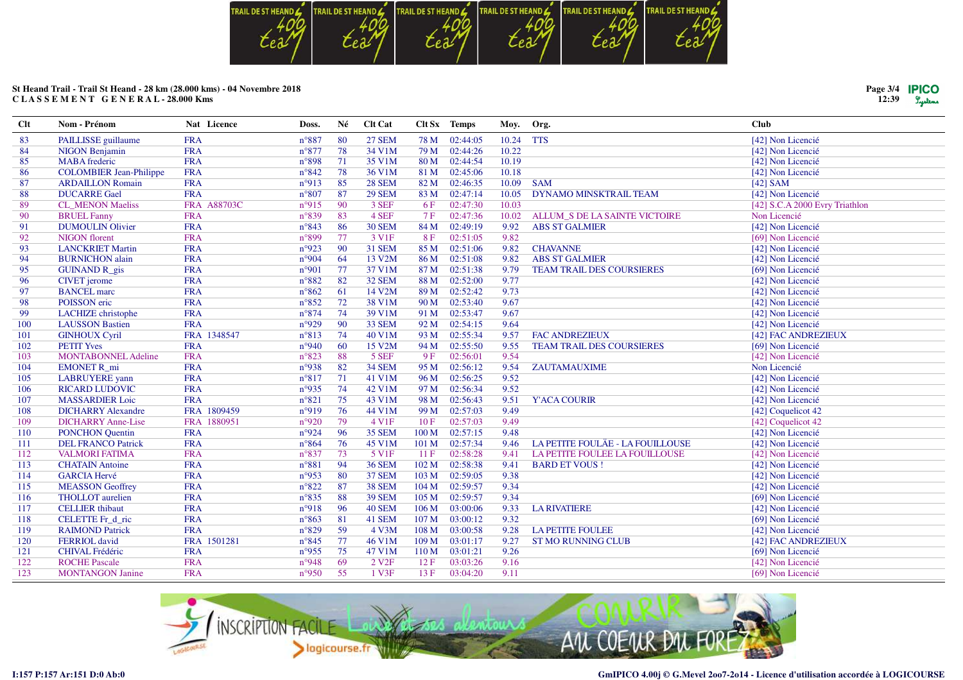

| Page $3/4$ | <b>IPICO</b> |
|------------|--------------|
|            |              |
| 12:39      | Lustens      |

| <b>Clt</b> | Nom - Prénom                   | Nat Licence        | Doss.          | Né | <b>Clt Cat</b>    |                  | Clt Sx Temps | Moy.  | Org.                             | <b>Club</b>                    |
|------------|--------------------------------|--------------------|----------------|----|-------------------|------------------|--------------|-------|----------------------------------|--------------------------------|
| 83         | PAILLISSE guillaume            | <b>FRA</b>         | $n^{\circ}887$ | 80 | <b>27 SEM</b>     | 78 M             | 02:44:05     | 10.24 | <b>TTS</b>                       | [42] Non Licencié              |
| 84         | <b>NIGON Benjamin</b>          | <b>FRA</b>         | $n^{\circ}877$ | 78 | 34 V1M            | 79 M             | 02:44:26     | 10.22 |                                  | [42] Non Licencié              |
| 85         | <b>MABA</b> frederic           | <b>FRA</b>         | n°898          | 71 | 35 V1M            | 80 M             | 02:44:54     | 10.19 |                                  | [42] Non Licencié              |
| 86         | <b>COLOMBIER Jean-Philippe</b> | <b>FRA</b>         | $n^{\circ}842$ | 78 | 36 V1M            | 81 M             | 02:45:06     | 10.18 |                                  | [42] Non Licencié              |
| 87         | <b>ARDAILLON Romain</b>        | <b>FRA</b>         | n°913          | 85 | <b>28 SEM</b>     | 82 M             | 02:46:35     | 10.09 | <b>SAM</b>                       | $[42]$ SAM                     |
| 88         | <b>DUCARRE Gael</b>            | <b>FRA</b>         | $n^{\circ}807$ | 87 | <b>29 SEM</b>     | 83 M             | 02:47:14     | 10.05 | <b>DYNAMO MINSKTRAIL TEAM</b>    | [42] Non Licencié              |
| 89         | <b>CL_MENON Maeliss</b>        | <b>FRA A88703C</b> | n°915          | 90 | 3 SEF             | 6F               | 02:47:30     | 10.03 |                                  | [42] S.C.A 2000 Evry Triathlon |
| 90         | <b>BRUEL Fanny</b>             | <b>FRA</b>         | $n^{\circ}839$ | 83 | 4 SEF             | 7F               | 02:47:36     | 10.02 | ALLUM S DE LA SAINTE VICTOIRE    | Non Licencié                   |
| 91         | <b>DUMOULIN Olivier</b>        | <b>FRA</b>         | $n^{\circ}843$ | 86 | <b>30 SEM</b>     | 84 M             | 02:49:19     | 9.92  | <b>ABS ST GALMIER</b>            | [42] Non Licencié              |
| 92         | <b>NIGON</b> florent           | <b>FRA</b>         | n°899          | 77 | 3 V <sub>1F</sub> | 8F               | 02:51:05     | 9.82  |                                  | [69] Non Licencié              |
| 93         | <b>LANCKRIET Martin</b>        | <b>FRA</b>         | n°923          | 90 | <b>31 SEM</b>     | 85 M             | 02:51:06     | 9.82  | <b>CHAVANNE</b>                  | [42] Non Licencié              |
| 94         | <b>BURNICHON</b> alain         | <b>FRA</b>         | n°904          | 64 | 13 V2M            | 86 M             | 02:51:08     | 9.82  | <b>ABS ST GALMIER</b>            | [42] Non Licencié              |
| 95         | <b>GUINAND R_gis</b>           | <b>FRA</b>         | n°901          | 77 | 37 V1M            | 87 M             | 02:51:38     | 9.79  | <b>TEAM TRAIL DES COURSIERES</b> | [69] Non Licencié              |
| 96         | <b>CIVET</b> jerome            | <b>FRA</b>         | $n^{\circ}882$ | 82 | 32 SEM            | 88 M             | 02:52:00     | 9.77  |                                  | [42] Non Licencié              |
| 97         | <b>BANCEL</b> marc             | <b>FRA</b>         | $n^{\circ}862$ | 61 | 14 V2M            | 89 M             | 02:52:42     | 9.73  |                                  | [42] Non Licencié              |
| 98         | POISSON eric                   | <b>FRA</b>         | $n^{\circ}852$ | 72 | 38 V1M            | 90 M             | 02:53:40     | 9.67  |                                  | [42] Non Licencié              |
| 99         | LACHIZE christophe             | <b>FRA</b>         | $n^{\circ}874$ | 74 | 39 V1M            | 91 M             | 02:53:47     | 9.67  |                                  | [42] Non Licencié              |
| 100        | <b>LAUSSON Bastien</b>         | <b>FRA</b>         | n°929          | 90 | <b>33 SEM</b>     | 92 M             | 02:54:15     | 9.64  |                                  | [42] Non Licencié              |
| 101        | <b>GINHOUX Cyril</b>           | FRA 1348547        | $n^{\circ}813$ | 74 | 40 V1M            | 93 M             | 02:55:34     | 9.57  | <b>FAC ANDREZIEUX</b>            | [42] FAC ANDREZIEUX            |
| 102        | <b>PETIT Yves</b>              | <b>FRA</b>         | n°940          | 60 | 15 V2M            | 94 M             | 02:55:50     | 9.55  | <b>TEAM TRAIL DES COURSIERES</b> | [69] Non Licencié              |
| 103        | <b>MONTABONNEL Adeline</b>     | <b>FRA</b>         | $n^{\circ}823$ | 88 | 5 SEF             | 9F               | 02:56:01     | 9.54  |                                  | [42] Non Licencié              |
| 104        | <b>EMONET R</b> mi             | <b>FRA</b>         | n°938          | 82 | 34 SEM            | 95 M             | 02:56:12     | 9.54  | ZAUTAMAUXIME                     | Non Licencié                   |
| 105        | <b>LABRUYERE</b> yann          | <b>FRA</b>         | $n^{\circ}817$ | 71 | 41 V1M            | 96 M             | 02:56:25     | 9.52  |                                  | [42] Non Licencié              |
| 106        | <b>RICARD LUDOVIC</b>          | <b>FRA</b>         | n°935          | 74 | 42 V1M            | 97 M             | 02:56:34     | 9.52  |                                  | [42] Non Licencié              |
| 107        | <b>MASSARDIER Loic</b>         | <b>FRA</b>         | $n^{\circ}821$ | 75 | 43 V1M            | 98 M             | 02:56:43     | 9.51  | <b>Y'ACA COURIR</b>              | [42] Non Licencié              |
| 108        | <b>DICHARRY Alexandre</b>      | FRA 1809459        | n°919          | 76 | 44 V1M            | 99 M             | 02:57:03     | 9.49  |                                  | [42] Coquelicot 42             |
| 109        | <b>DICHARRY Anne-Lise</b>      | FRA 1880951        | n°920          | 79 | 4 V1F             | 10F              | 02:57:03     | 9.49  |                                  | [42] Coquelicot 42             |
| 110        | <b>PONCHON</b> Quentin         | <b>FRA</b>         | n°924          | 96 | <b>35 SEM</b>     | 100 M            | 02:57:15     | 9.48  |                                  | [42] Non Licencié              |
| 111        | <b>DEL FRANCO Patrick</b>      | <b>FRA</b>         | $n^{\circ}864$ | 76 | 45 V1M            | 101 M            | 02:57:34     | 9.46  | LA PETITE FOULÄE - LA FOUILLOUSE | [42] Non Licencié              |
| 112        | <b>VALMORI FATIMA</b>          | <b>FRA</b>         | $n^{\circ}837$ | 73 | 5 V1F             | 11F              | 02:58:28     | 9.41  | LA PETITE FOULEE LA FOUILLOUSE   | [42] Non Licencié              |
| 113        | <b>CHATAIN Antoine</b>         | <b>FRA</b>         | $n^{\circ}881$ | 94 | <b>36 SEM</b>     | 102 M            | 02:58:38     | 9.41  | <b>BARD ET VOUS!</b>             | [42] Non Licencié              |
| 114        | <b>GARCIA Hervé</b>            | <b>FRA</b>         | n°953          | 80 | <b>37 SEM</b>     | 103 M            | 02:59:05     | 9.38  |                                  | [42] Non Licencié              |
| 115        | <b>MEASSON</b> Geoffrey        | <b>FRA</b>         | $n^{\circ}822$ | 87 | <b>38 SEM</b>     | 104 M            | 02:59:57     | 9.34  |                                  | [42] Non Licencié              |
| 116        | <b>THOLLOT</b> aurelien        | <b>FRA</b>         | $n^{\circ}835$ | 88 | <b>39 SEM</b>     | 105 <sub>M</sub> | 02:59:57     | 9.34  |                                  | [69] Non Licencié              |
| 117        | <b>CELLIER</b> thibaut         | <b>FRA</b>         | n°918          | 96 | <b>40 SEM</b>     | 106 M            | 03:00:06     | 9.33  | <b>LA RIVATIERE</b>              | [42] Non Licencié              |
| 118        | CELETTE Fr_d_ric               | <b>FRA</b>         | $n^{\circ}863$ | 81 | 41 SEM            | 107 M            | 03:00:12     | 9.32  |                                  | [69] Non Licencié              |
| 119        | <b>RAIMOND Patrick</b>         | <b>FRA</b>         | $n^{\circ}829$ | 59 | 4 V3M             | 108 M            | 03:00:58     | 9.28  | <b>LA PETITE FOULEE</b>          | [42] Non Licencié              |
| 120        | <b>FERRIOL</b> david           | FRA 1501281        | $n^{\circ}845$ | 77 | 46 V1M            | 109 M            | 03:01:17     | 9.27  | <b>ST MO RUNNING CLUB</b>        | [42] FAC ANDREZIEUX            |
| 121        | <b>CHIVAL Frédéric</b>         | <b>FRA</b>         | $n^{\circ}955$ | 75 | 47 V1M            | 110 M            | 03:01:21     | 9.26  |                                  | [69] Non Licencié              |
| 122        | <b>ROCHE Pascale</b>           | <b>FRA</b>         | n°948          | 69 | 2 V2F             | 12F              | 03:03:26     | 9.16  |                                  | [42] Non Licencié              |
| 123        | <b>MONTANGON Janine</b>        | <b>FRA</b>         | $n^{\circ}950$ | 55 | 1 V3F             | 13F              | 03:04:20     | 9.11  |                                  | [69] Non Licencié              |